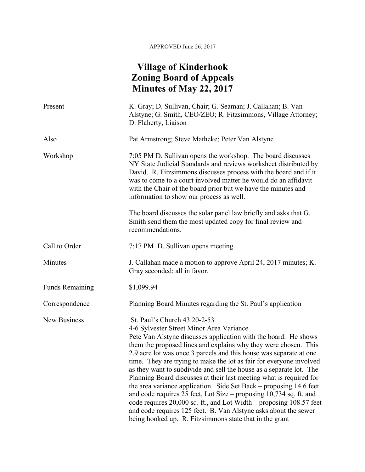## APPROVED June 26, 2017

## **Village of Kinderhook Zoning Board of Appeals Minutes of May 22, 2017**

| Present                | K. Gray; D. Sullivan, Chair; G. Seaman; J. Callahan; B. Van<br>Alstyne; G. Smith, CEO/ZEO; R. Fitzsimmons, Village Attorney;<br>D. Flaherty, Liaison                                                                                                                                                                                                                                                                                                                                                                                                                                                                                                                                                                                                                                                                                                       |
|------------------------|------------------------------------------------------------------------------------------------------------------------------------------------------------------------------------------------------------------------------------------------------------------------------------------------------------------------------------------------------------------------------------------------------------------------------------------------------------------------------------------------------------------------------------------------------------------------------------------------------------------------------------------------------------------------------------------------------------------------------------------------------------------------------------------------------------------------------------------------------------|
| Also                   | Pat Armstrong; Steve Matheke; Peter Van Alstyne                                                                                                                                                                                                                                                                                                                                                                                                                                                                                                                                                                                                                                                                                                                                                                                                            |
| Workshop               | 7:05 PM D. Sullivan opens the workshop. The board discusses<br>NY State Judicial Standards and reviews worksheet distributed by<br>David. R. Fitzsimmons discusses process with the board and if it<br>was to come to a court involved matter he would do an affidavit<br>with the Chair of the board prior but we have the minutes and<br>information to show our process as well.                                                                                                                                                                                                                                                                                                                                                                                                                                                                        |
|                        | The board discusses the solar panel law briefly and asks that G.<br>Smith send them the most updated copy for final review and<br>recommendations.                                                                                                                                                                                                                                                                                                                                                                                                                                                                                                                                                                                                                                                                                                         |
| Call to Order          | 7:17 PM D. Sullivan opens meeting.                                                                                                                                                                                                                                                                                                                                                                                                                                                                                                                                                                                                                                                                                                                                                                                                                         |
| Minutes                | J. Callahan made a motion to approve April 24, 2017 minutes; K.<br>Gray seconded; all in favor.                                                                                                                                                                                                                                                                                                                                                                                                                                                                                                                                                                                                                                                                                                                                                            |
| <b>Funds Remaining</b> | \$1,099.94                                                                                                                                                                                                                                                                                                                                                                                                                                                                                                                                                                                                                                                                                                                                                                                                                                                 |
| Correspondence         | Planning Board Minutes regarding the St. Paul's application                                                                                                                                                                                                                                                                                                                                                                                                                                                                                                                                                                                                                                                                                                                                                                                                |
| <b>New Business</b>    | St. Paul's Church 43.20-2-53<br>4-6 Sylvester Street Minor Area Variance<br>Pete Van Alstyne discusses application with the board. He shows<br>them the proposed lines and explains why they were chosen. This<br>2.9 acre lot was once 3 parcels and this house was separate at one<br>time. They are trying to make the lot as fair for everyone involved<br>as they want to subdivide and sell the house as a separate lot. The<br>Planning Board discusses at their last meeting what is required for<br>the area variance application. Side Set Back - proposing 14.6 feet<br>and code requires 25 feet, Lot Size – proposing 10,734 sq. ft. and<br>code requires 20,000 sq. ft., and Lot Width – proposing 108.57 feet<br>and code requires 125 feet. B. Van Alstyne asks about the sewer<br>being hooked up. R. Fitzsimmons state that in the grant |